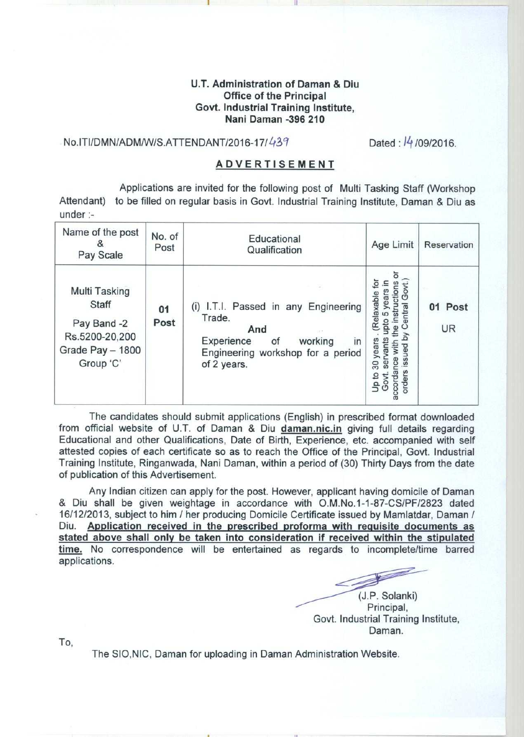## **U.T. Administration of Daman & Diu Office of the Principal Govt**. **Industrial Training Institute, Nani Daman** -**396 210**

## **No.ITI/DMN**/ADM/W/S.ATTENDANT/2016-17/439 Dated : /4/ **09/2016.**

## **ADVERTISEMENT**

Applications are invited for the following post of Multi Tasking Staff (Workshop Attendant) to be filled on regular basis in Govt. Industrial Training Institute, Daman & Diu as under :-

| Name of the post<br>Pay Scale                                                            | No. of<br>Post | Educational<br>Qualification                                                                                                                   | Age Limit                                                                                    | Reservation          |
|------------------------------------------------------------------------------------------|----------------|------------------------------------------------------------------------------------------------------------------------------------------------|----------------------------------------------------------------------------------------------|----------------------|
| Multi Tasking<br>Staff<br>Pay Band -2<br>Rs.5200-20,200<br>Grade Pay - 1800<br>Group 'C' | 01<br>Post     | (i) I.T.I. Passed in any Engineering<br>Trade.<br>And<br>Experience<br>working<br>of<br>in<br>Engineering workshop for a period<br>of 2 years. | ctio<br><b>S</b><br>elaxable<br>6<br>30 years<br>ants<br>€<br>op to<br>ö<br>Ğ<br>ccor<br>ord | 01 Post<br><b>UR</b> |

The candidates should submit applications (English) in prescribed format downloaded from official website of U.T. of Daman & Diu daman.nic.in giving full details regarding Educational and other Qualifications, Date of Birth, Experience, etc. accompanied with self attested copies of each certificate so as to reach the Office of the Principal, Govt. Industrial Training Institute, Ringanwada, Nani Daman, within a period of (30) Thirty Days from the date of publication of this Advertisement.

Any Indian citizen can apply for the post. However, applicant having domicile of Daman & Diu shall be given weightage in accordance with O.M.No.1-1-87-CS/PF/2823 dated 16/12/2013, subject to him / her producing Domicile Certificate issued by Mamlatdar, Daman / **Diu. Application received in the prescribed proforma with requisite documents as stated above shall only be taken into consideration if received within the stipulated time. No** correspondence will be entertained as regards to incomplete/time barred applications.

1 (J.P. Solanki) Principal, Govt. Industrial Training **Institute,** Daman.

To,

The SIO **,NIC, Daman for uploading in Daman Administration Website.**